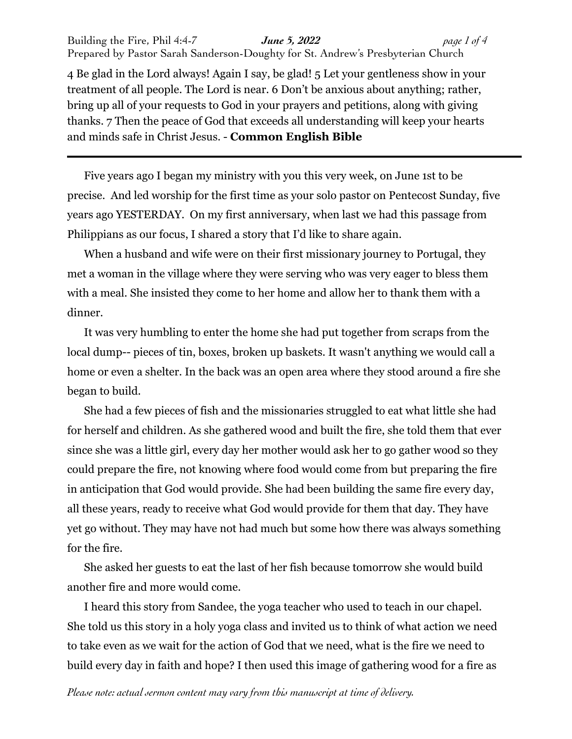Building the Fire, Phil 4:4-7 *June 5, 2022 page 1 of 4* Prepared by Pastor Sarah Sanderson-Doughty for St. Andrew's Presbyterian Church

4 Be glad in the Lord always! Again I say, be glad! 5 Let your gentleness show in your treatment of all people. The Lord is near. 6 Don't be anxious about anything; rather, bring up all of your requests to God in your prayers and petitions, along with giving thanks. 7 Then the peace of God that exceeds all understanding will keep your hearts and minds safe in Christ Jesus. - **Common English Bible**

Five years ago I began my ministry with you this very week, on June 1st to be precise. And led worship for the first time as your solo pastor on Pentecost Sunday, five years ago YESTERDAY. On my first anniversary, when last we had this passage from Philippians as our focus, I shared a story that I'd like to share again.

When a husband and wife were on their first missionary journey to Portugal, they met a woman in the village where they were serving who was very eager to bless them with a meal. She insisted they come to her home and allow her to thank them with a dinner.

It was very humbling to enter the home she had put together from scraps from the local dump-- pieces of tin, boxes, broken up baskets. It wasn't anything we would call a home or even a shelter. In the back was an open area where they stood around a fire she began to build.

She had a few pieces of fish and the missionaries struggled to eat what little she had for herself and children. As she gathered wood and built the fire, she told them that ever since she was a little girl, every day her mother would ask her to go gather wood so they could prepare the fire, not knowing where food would come from but preparing the fire in anticipation that God would provide. She had been building the same fire every day, all these years, ready to receive what God would provide for them that day. They have yet go without. They may have not had much but some how there was always something for the fire.

She asked her guests to eat the last of her fish because tomorrow she would build another fire and more would come.

I heard this story from Sandee, the yoga teacher who used to teach in our chapel. She told us this story in a holy yoga class and invited us to think of what action we need to take even as we wait for the action of God that we need, what is the fire we need to build every day in faith and hope? I then used this image of gathering wood for a fire as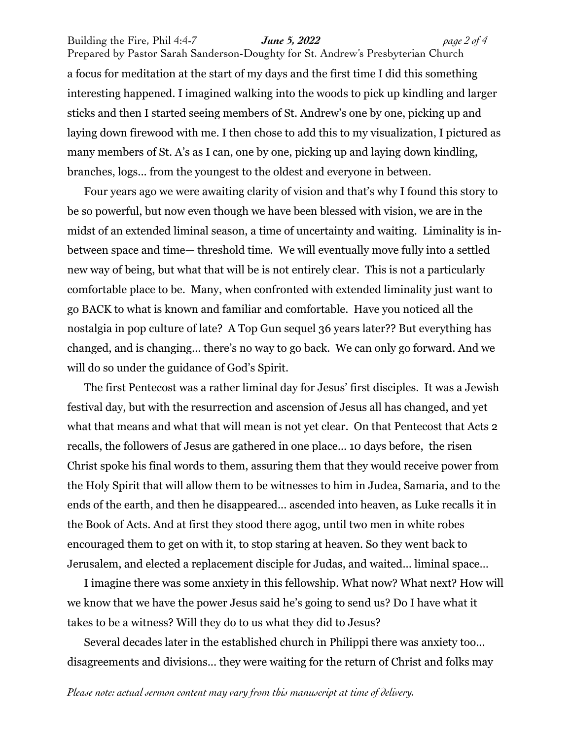Building the Fire, Phil 4:4-7 *June 5, 2022 page 2 of 4* Prepared by Pastor Sarah Sanderson-Doughty for St. Andrew's Presbyterian Church a focus for meditation at the start of my days and the first time I did this something interesting happened. I imagined walking into the woods to pick up kindling and larger

sticks and then I started seeing members of St. Andrew's one by one, picking up and laying down firewood with me. I then chose to add this to my visualization, I pictured as many members of St. A's as I can, one by one, picking up and laying down kindling, branches, logs... from the youngest to the oldest and everyone in between.

Four years ago we were awaiting clarity of vision and that's why I found this story to be so powerful, but now even though we have been blessed with vision, we are in the midst of an extended liminal season, a time of uncertainty and waiting. Liminality is inbetween space and time— threshold time. We will eventually move fully into a settled new way of being, but what that will be is not entirely clear. This is not a particularly comfortable place to be. Many, when confronted with extended liminality just want to go BACK to what is known and familiar and comfortable. Have you noticed all the nostalgia in pop culture of late? A Top Gun sequel 36 years later?? But everything has changed, and is changing… there's no way to go back. We can only go forward. And we will do so under the guidance of God's Spirit.

The first Pentecost was a rather liminal day for Jesus' first disciples. It was a Jewish festival day, but with the resurrection and ascension of Jesus all has changed, and yet what that means and what that will mean is not yet clear. On that Pentecost that Acts 2 recalls, the followers of Jesus are gathered in one place… 10 days before, the risen Christ spoke his final words to them, assuring them that they would receive power from the Holy Spirit that will allow them to be witnesses to him in Judea, Samaria, and to the ends of the earth, and then he disappeared... ascended into heaven, as Luke recalls it in the Book of Acts. And at first they stood there agog, until two men in white robes encouraged them to get on with it, to stop staring at heaven. So they went back to Jerusalem, and elected a replacement disciple for Judas, and waited... liminal space…

I imagine there was some anxiety in this fellowship. What now? What next? How will we know that we have the power Jesus said he's going to send us? Do I have what it takes to be a witness? Will they do to us what they did to Jesus?

Several decades later in the established church in Philippi there was anxiety too... disagreements and divisions... they were waiting for the return of Christ and folks may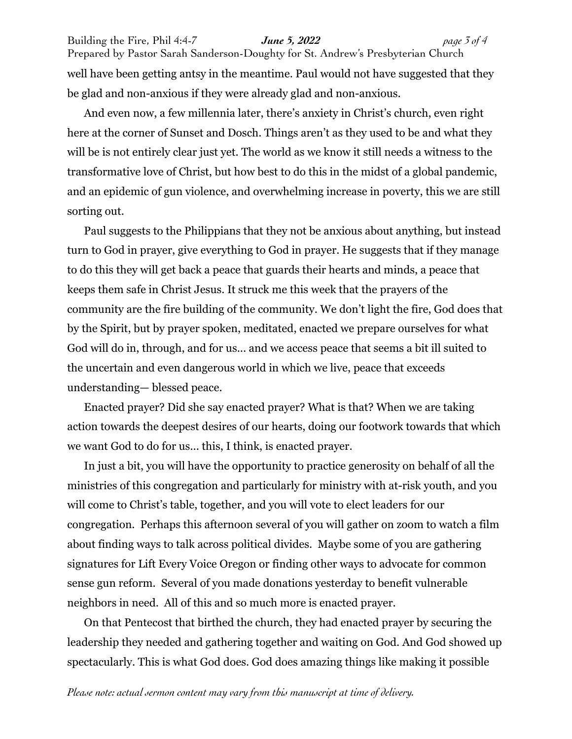Building the Fire, Phil 4:4-7 *June 5, 2022 page 3 of 4* Prepared by Pastor Sarah Sanderson-Doughty for St. Andrew's Presbyterian Church well have been getting antsy in the meantime. Paul would not have suggested that they be glad and non-anxious if they were already glad and non-anxious.

And even now, a few millennia later, there's anxiety in Christ's church, even right here at the corner of Sunset and Dosch. Things aren't as they used to be and what they will be is not entirely clear just yet. The world as we know it still needs a witness to the transformative love of Christ, but how best to do this in the midst of a global pandemic, and an epidemic of gun violence, and overwhelming increase in poverty, this we are still sorting out.

Paul suggests to the Philippians that they not be anxious about anything, but instead turn to God in prayer, give everything to God in prayer. He suggests that if they manage to do this they will get back a peace that guards their hearts and minds, a peace that keeps them safe in Christ Jesus. It struck me this week that the prayers of the community are the fire building of the community. We don't light the fire, God does that by the Spirit, but by prayer spoken, meditated, enacted we prepare ourselves for what God will do in, through, and for us... and we access peace that seems a bit ill suited to the uncertain and even dangerous world in which we live, peace that exceeds understanding— blessed peace.

Enacted prayer? Did she say enacted prayer? What is that? When we are taking action towards the deepest desires of our hearts, doing our footwork towards that which we want God to do for us... this, I think, is enacted prayer.

In just a bit, you will have the opportunity to practice generosity on behalf of all the ministries of this congregation and particularly for ministry with at-risk youth, and you will come to Christ's table, together, and you will vote to elect leaders for our congregation. Perhaps this afternoon several of you will gather on zoom to watch a film about finding ways to talk across political divides. Maybe some of you are gathering signatures for Lift Every Voice Oregon or finding other ways to advocate for common sense gun reform. Several of you made donations yesterday to benefit vulnerable neighbors in need. All of this and so much more is enacted prayer.

On that Pentecost that birthed the church, they had enacted prayer by securing the leadership they needed and gathering together and waiting on God. And God showed up spectacularly. This is what God does. God does amazing things like making it possible